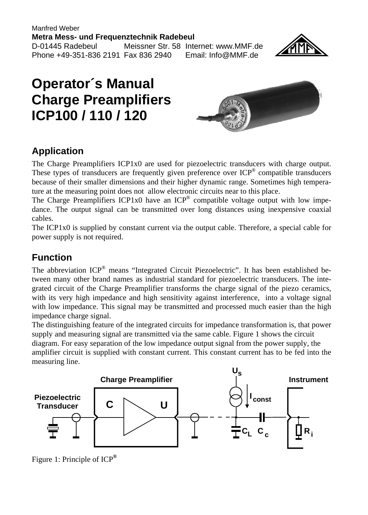Manfred Weber **Metra Mess- und Frequenztechnik Radebeul** D-01445 Radebeul Meissner Str. 58 Internet: www.MMF.de Phone +49-351-836 2191 Fax 836 2940 Email: Info@MMF.de



## **Operator´s Manual Charge Preamplifiers ICP100 / 110 / 120**



## **Application**

The Charge Preamplifiers ICP1x0 are used for piezoelectric transducers with charge output. These types of transducers are frequently given preference over ICP® compatible transducers because of their smaller dimensions and their higher dynamic range. Sometimes high temperature at the measuring point does not allow electronic circuits near to this place.

The Charge Preamplifiers ICP1x0 have an ICP<sup>®</sup> compatible voltage output with low impedance. The output signal can be transmitted over long distances using inexpensive coaxial cables.

The ICP1x0 is supplied by constant current via the output cable. Therefore, a special cable for power supply is not required.

## **Function**

The abbreviation ICP<sup>®</sup> means "Integrated Circuit Piezoelectric". It has been established between many other brand names as industrial standard for piezoelectric transducers. The integrated circuit of the Charge Preamplifier transforms the charge signal of the piezo ceramics, with its very high impedance and high sensitivity against interference, into a voltage signal with low impedance. This signal may be transmitted and processed much easier than the high impedance charge signal.

The distinguishing feature of the integrated circuits for impedance transformation is, that power supply and measuring signal are transmitted via the same cable. Figure 1 shows the circuit diagram. For easy separation of the low impedance output signal from the power supply, the amplifier circuit is supplied with constant current. This constant current has to be fed into the measuring line.



Figure 1: Principle of ICP**®**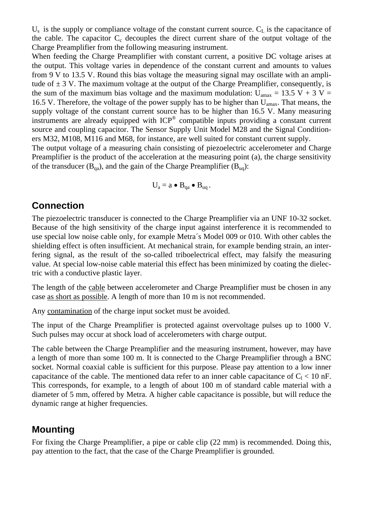$U_s$  is the supply or compliance voltage of the constant current source.  $C_l$  is the capacitance of the cable. The capacitor  $C_c$  decouples the direct current share of the output voltage of the Charge Preamplifier from the following measuring instrument.

When feeding the Charge Preamplifier with constant current, a positive DC voltage arises at the output. This voltage varies in dependence of the constant current and amounts to values from 9 V to 13.5 V. Round this bias voltage the measuring signal may oscillate with an amplitude of  $\pm$  3 V. The maximum voltage at the output of the Charge Preamplifier, consequently, is the sum of the maximum bias voltage and the maximum modulation:  $U_{\text{amax}} = 13.5 \text{ V} + 3 \text{ V} =$ 16.5 V. Therefore, the voltage of the power supply has to be higher than  $U_{\text{apax}}$ . That means, the supply voltage of the constant current source has to be higher than 16.5 V. Many measuring instruments are already equipped with ICP® compatible inputs providing a constant current source and coupling capacitor. The Sensor Supply Unit Model M28 and the Signal Conditioners M32, M108, M116 and M68, for instance, are well suited for constant current supply.

The output voltage of a measuring chain consisting of piezoelectric accelerometer and Charge Preamplifier is the product of the acceleration at the measuring point (a), the charge sensitivity of the transducer  $(B_{qa})$ , and the gain of the Charge Preamplifier  $(B_{uq})$ :

$$
U_a = a \bullet B_{qa} \bullet B_{uq}.
$$

#### **Connection**

The piezoelectric transducer is connected to the Charge Preamplifier via an UNF 10-32 socket. Because of the high sensitivity of the charge input against interference it is recommended to use special low noise cable only, for example Metra´s Model 009 or 010. With other cables the shielding effect is often insufficient. At mechanical strain, for example bending strain, an interfering signal, as the result of the so-called triboelectrical effect, may falsify the measuring value. At special low-noise cable material this effect has been minimized by coating the dielectric with a conductive plastic layer.

The length of the cable between accelerometer and Charge Preamplifier must be chosen in any case as short as possible. A length of more than 10 m is not recommended.

Any contamination of the charge input socket must be avoided.

The input of the Charge Preamplifier is protected against overvoltage pulses up to 1000 V. Such pulses may occur at shock load of accelerometers with charge output.

The cable between the Charge Preamplifier and the measuring instrument, however, may have a length of more than some 100 m. It is connected to the Charge Preamplifier through a BNC socket. Normal coaxial cable is sufficient for this purpose. Please pay attention to a low inner capacitance of the cable. The mentioned data refer to an inner cable capacitance of  $C_1 < 10$  nF. This corresponds, for example, to a length of about 100 m of standard cable material with a diameter of 5 mm, offered by Metra. A higher cable capacitance is possible, but will reduce the dynamic range at higher frequencies.

#### **Mounting**

For fixing the Charge Preamplifier, a pipe or cable clip (22 mm) is recommended. Doing this, pay attention to the fact, that the case of the Charge Preamplifier is grounded.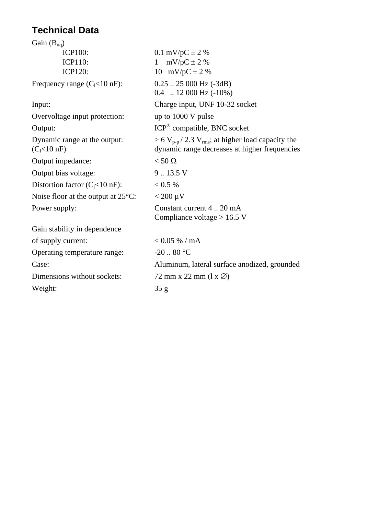## **Technical Data**

| Gain $(B_{uq})$                                         |                                                                                                                            |
|---------------------------------------------------------|----------------------------------------------------------------------------------------------------------------------------|
| <b>ICP100:</b>                                          | 0.1 mV/pC $\pm$ 2 %                                                                                                        |
| <b>ICP110:</b>                                          | $mV/pC \pm 2$ %<br>1                                                                                                       |
| <b>ICP120:</b>                                          | 10 mV/pC $\pm$ 2 %                                                                                                         |
| Frequency range $(C_1<10$ nF):                          | $0.25$ 25 000 Hz (-3dB)<br>$0.4$ 12 000 Hz $(-10\%)$                                                                       |
| Input:                                                  | Charge input, UNF 10-32 socket                                                                                             |
| Overvoltage input protection:                           | up to 1000 V pulse                                                                                                         |
| Output:                                                 | ICP <sup>®</sup> compatible, BNC socket                                                                                    |
| Dynamic range at the output:<br>(C <sub>1</sub> <10 nF) | $> 6 V_{\text{p-p}}$ / 2.3 V <sub>rms</sub> ; at higher load capacity the<br>dynamic range decreases at higher frequencies |
| Output impedance:                                       | $<$ 50 $\Omega$                                                                                                            |
| Output bias voltage:                                    | 9.13.5V                                                                                                                    |
| Distortion factor $(C1<10$ nF):                         | < 0.5 %                                                                                                                    |
| Noise floor at the output at $25^{\circ}$ C:            | $< 200 \mu V$                                                                                                              |
| Power supply:                                           | Constant current 4  20 mA<br>Compliance voltage $> 16.5$ V                                                                 |
| Gain stability in dependence                            |                                                                                                                            |
| of supply current:                                      | $< 0.05 %$ / mA                                                                                                            |
| Operating temperature range:                            | $-20.80 °C$                                                                                                                |
| Case:                                                   | Aluminum, lateral surface anodized, grounded                                                                               |
| Dimensions without sockets:                             | 72 mm x 22 mm $(1 x \oslash)$                                                                                              |
| Weight:                                                 | 35 <sub>g</sub>                                                                                                            |